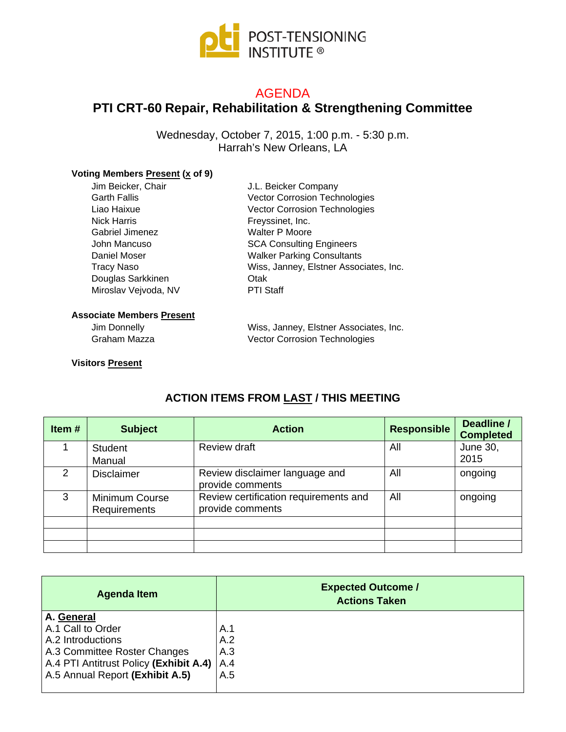

### AGENDA

# **PTI CRT-60 Repair, Rehabilitation & Strengthening Committee**

Wednesday, October 7, 2015, 1:00 p.m. - 5:30 p.m. Harrah's New Orleans, LA

#### **Voting Members Present (x of 9)**

| Jim Beicker, Chair   | J.L. Beicker Company                   |
|----------------------|----------------------------------------|
| <b>Garth Fallis</b>  | <b>Vector Corrosion Technologies</b>   |
| Liao Haixue          | Vector Corrosion Technologies          |
| <b>Nick Harris</b>   | Freyssinet, Inc.                       |
| Gabriel Jimenez      | <b>Walter P Moore</b>                  |
| John Mancuso         | <b>SCA Consulting Engineers</b>        |
| Daniel Moser         | <b>Walker Parking Consultants</b>      |
| <b>Tracy Naso</b>    | Wiss, Janney, Elstner Associates, Inc. |
| Douglas Sarkkinen    | Otak                                   |
| Miroslav Vejvoda, NV | <b>PTI Staff</b>                       |
|                      |                                        |
|                      |                                        |

#### **Associate Members Present**

Jim Donnelly Graham Mazza Wiss, Janney, Elstner Associates, Inc. Vector Corrosion Technologies

#### **Visitors Present**

### **ACTION ITEMS FROM LAST / THIS MEETING**

| Item#         | <b>Subject</b>                        | <b>Action</b>                                             | <b>Responsible</b> | Deadline /<br><b>Completed</b> |
|---------------|---------------------------------------|-----------------------------------------------------------|--------------------|--------------------------------|
|               | <b>Student</b><br>Manual              | Review draft                                              | All                | June 30,<br>2015               |
| $\mathcal{P}$ | <b>Disclaimer</b>                     | Review disclaimer language and<br>provide comments        | All                | ongoing                        |
| 3             | <b>Minimum Course</b><br>Requirements | Review certification requirements and<br>provide comments | All                | ongoing                        |
|               |                                       |                                                           |                    |                                |
|               |                                       |                                                           |                    |                                |
|               |                                       |                                                           |                    |                                |

| <b>Agenda Item</b>                           | <b>Expected Outcome /</b><br><b>Actions Taken</b> |
|----------------------------------------------|---------------------------------------------------|
| A. General                                   |                                                   |
| A.1 Call to Order                            | A.1                                               |
| A.2 Introductions                            | A.2                                               |
| A.3 Committee Roster Changes                 | A.3                                               |
| A.4 PTI Antitrust Policy (Exhibit A.4)   A.4 |                                                   |
| A.5 Annual Report (Exhibit A.5)              | A.5                                               |
|                                              |                                                   |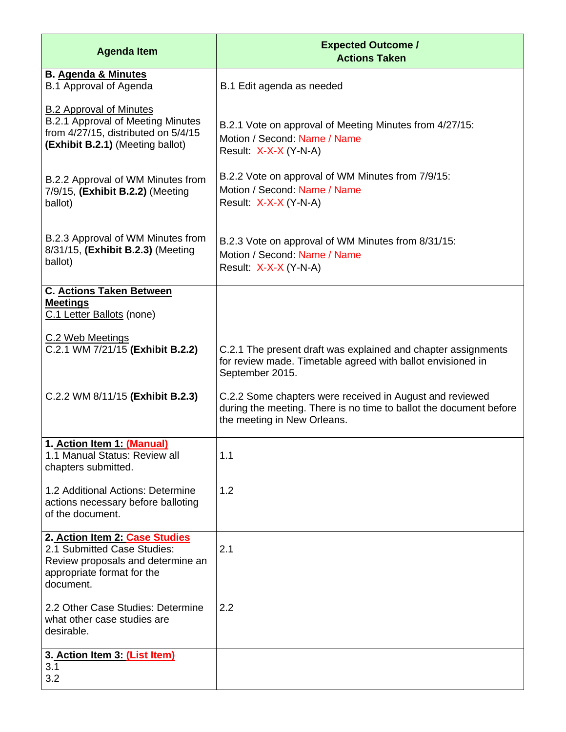| <b>Agenda Item</b>                                                                                                                             | <b>Expected Outcome /</b><br><b>Actions Taken</b>                                                                                                             |
|------------------------------------------------------------------------------------------------------------------------------------------------|---------------------------------------------------------------------------------------------------------------------------------------------------------------|
| <b>B. Agenda &amp; Minutes</b><br><b>B.1 Approval of Agenda</b>                                                                                | B.1 Edit agenda as needed                                                                                                                                     |
| <b>B.2 Approval of Minutes</b><br>B.2.1 Approval of Meeting Minutes<br>from 4/27/15, distributed on 5/4/15<br>(Exhibit B.2.1) (Meeting ballot) | B.2.1 Vote on approval of Meeting Minutes from 4/27/15:<br>Motion / Second: Name / Name<br>Result: X-X-X (Y-N-A)                                              |
| B.2.2 Approval of WM Minutes from<br>7/9/15, (Exhibit B.2.2) (Meeting<br>ballot)                                                               | B.2.2 Vote on approval of WM Minutes from 7/9/15:<br>Motion / Second: Name / Name<br>Result: X-X-X (Y-N-A)                                                    |
| B.2.3 Approval of WM Minutes from<br>8/31/15, (Exhibit B.2.3) (Meeting<br>ballot)                                                              | B.2.3 Vote on approval of WM Minutes from 8/31/15:<br>Motion / Second: Name / Name<br>Result: X-X-X (Y-N-A)                                                   |
| <b>C. Actions Taken Between</b><br><b>Meetings</b><br>C.1 Letter Ballots (none)                                                                |                                                                                                                                                               |
| C.2 Web Meetings<br>C.2.1 WM 7/21/15 (Exhibit B.2.2)                                                                                           | C.2.1 The present draft was explained and chapter assignments<br>for review made. Timetable agreed with ballot envisioned in<br>September 2015.               |
| C.2.2 WM 8/11/15 (Exhibit B.2.3)                                                                                                               | C.2.2 Some chapters were received in August and reviewed<br>during the meeting. There is no time to ballot the document before<br>the meeting in New Orleans. |
| 1. Action Item 1: (Manual)<br>1.1 Manual Status: Review all<br>chapters submitted.                                                             | 1.1                                                                                                                                                           |
| 1.2 Additional Actions: Determine<br>actions necessary before balloting<br>of the document.                                                    | 1.2                                                                                                                                                           |
| 2. Action Item 2: Case Studies<br>2.1 Submitted Case Studies:<br>Review proposals and determine an<br>appropriate format for the<br>document.  | 2.1                                                                                                                                                           |
| 2.2 Other Case Studies: Determine<br>what other case studies are<br>desirable.                                                                 | 2.2                                                                                                                                                           |
| 3. Action Item 3: (List Item)<br>3.1<br>3.2                                                                                                    |                                                                                                                                                               |